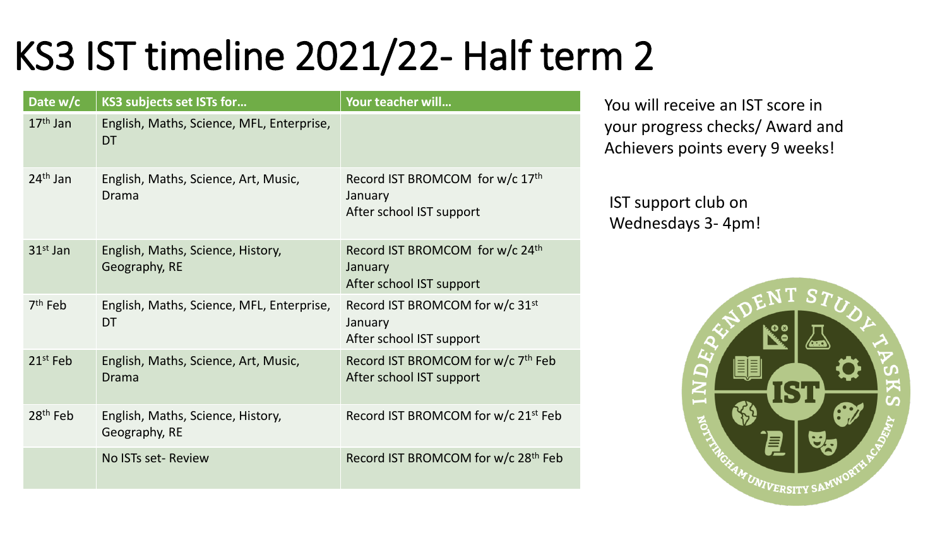## KS3 IST timeline 2021/22- Half term 2

| Date w/c   | KS3 subjects set ISTs for                              | Your teacher will                                                                  |
|------------|--------------------------------------------------------|------------------------------------------------------------------------------------|
| $17th$ Jan | English, Maths, Science, MFL, Enterprise,<br><b>DT</b> |                                                                                    |
| $24th$ Jan | English, Maths, Science, Art, Music,<br>Drama          | Record IST BROMCOM for w/c 17th<br>January<br>After school IST support             |
| $31st$ Jan | English, Maths, Science, History,<br>Geography, RE     | Record IST BROMCOM for w/c 24th<br>January<br>After school IST support             |
| $7th$ Feb  | English, Maths, Science, MFL, Enterprise,<br>DT        | Record IST BROMCOM for w/c 31 <sup>st</sup><br>January<br>After school IST support |
| $21st$ Feb | English, Maths, Science, Art, Music,<br>Drama          | Record IST BROMCOM for w/c 7 <sup>th</sup> Feb<br>After school IST support         |
| $28th$ Feb | English, Maths, Science, History,<br>Geography, RE     | Record IST BROMCOM for w/c 21 <sup>st</sup> Feb                                    |
|            | No ISTs set-Review                                     | Record IST BROMCOM for w/c 28 <sup>th</sup> Feb                                    |

You will receive an IST score in your progress checks/ Award and Achievers points every 9 weeks!

IST support club on Wednesdays 3- 4pm!